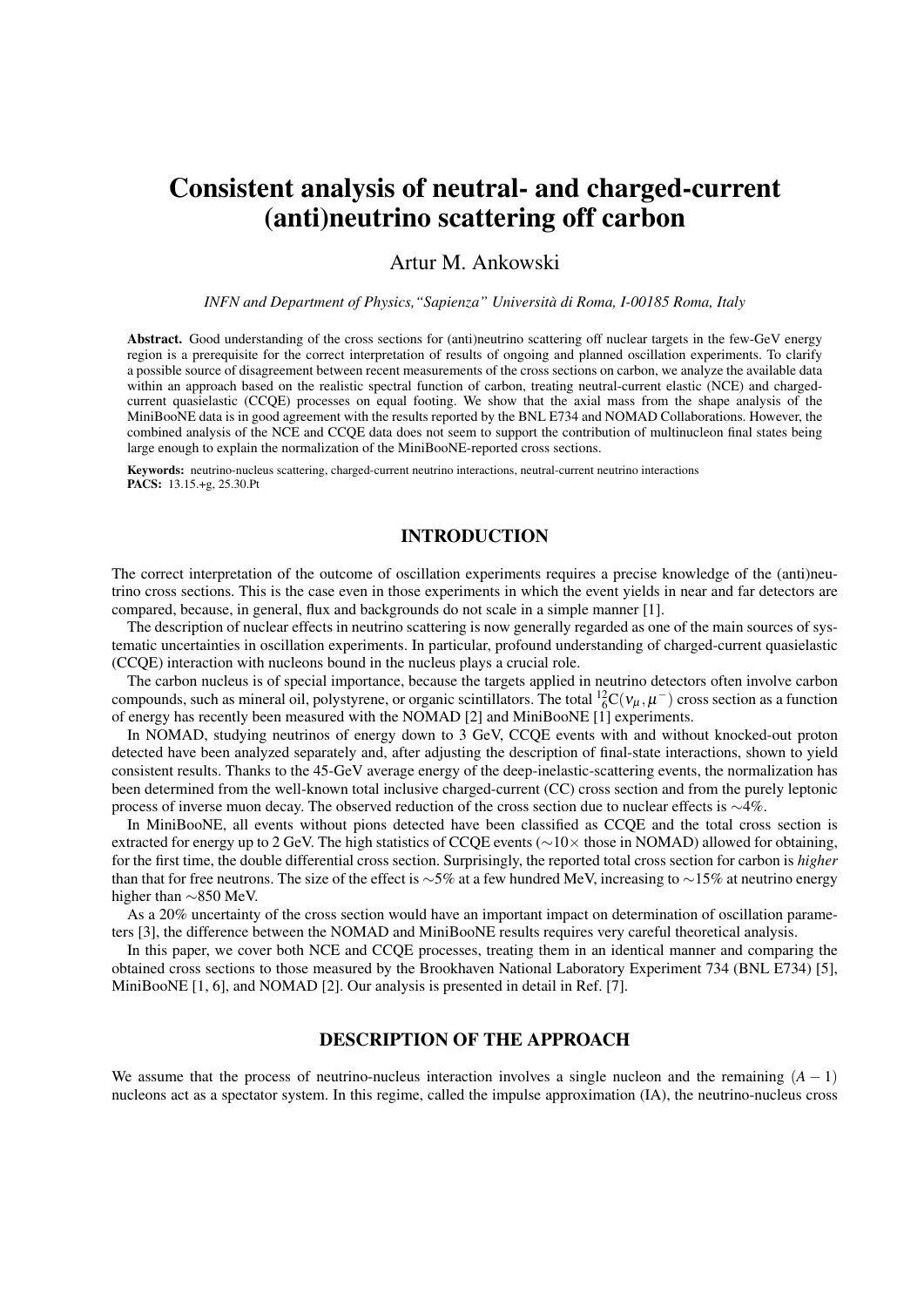# Consistent analysis of neutral- and charged-current (anti)neutrino scattering off carbon

# Artur M. Ankowski

*INFN and Department of Physics,"Sapienza" Università di Roma, I-00185 Roma, Italy*

Abstract. Good understanding of the cross sections for (anti)neutrino scattering off nuclear targets in the few-GeV energy region is a prerequisite for the correct interpretation of results of ongoing and planned oscillation experiments. To clarify a possible source of disagreement between recent measurements of the cross sections on carbon, we analyze the available data within an approach based on the realistic spectral function of carbon, treating neutral-current elastic (NCE) and chargedcurrent quasielastic (CCQE) processes on equal footing. We show that the axial mass from the shape analysis of the MiniBooNE data is in good agreement with the results reported by the BNL E734 and NOMAD Collaborations. However, the combined analysis of the NCE and CCQE data does not seem to support the contribution of multinucleon final states being large enough to explain the normalization of the MiniBooNE-reported cross sections.

Keywords: neutrino-nucleus scattering, charged-current neutrino interactions, neutral-current neutrino interactions PACS: 13.15.+g, 25.30.Pt

## INTRODUCTION

The correct interpretation of the outcome of oscillation experiments requires a precise knowledge of the (anti)neutrino cross sections. This is the case even in those experiments in which the event yields in near and far detectors are compared, because, in general, flux and backgrounds do not scale in a simple manner [1].

The description of nuclear effects in neutrino scattering is now generally regarded as one of the main sources of systematic uncertainties in oscillation experiments. In particular, profound understanding of charged-current quasielastic (CCQE) interaction with nucleons bound in the nucleus plays a crucial role.

The carbon nucleus is of special importance, because the targets applied in neutrino detectors often involve carbon compounds, such as mineral oil, polystyrene, or organic scintillators. The total  ${}^{12}_{6}C(v_{\mu}, \mu^{-})$  cross section as a function of energy has recently been measured with the NOMAD [2] and MiniBooNE [1] experiments.

In NOMAD, studying neutrinos of energy down to 3 GeV, CCQE events with and without knocked-out proton detected have been analyzed separately and, after adjusting the description of final-state interactions, shown to yield consistent results. Thanks to the 45-GeV average energy of the deep-inelastic-scattering events, the normalization has been determined from the well-known total inclusive charged-current (CC) cross section and from the purely leptonic process of inverse muon decay. The observed reduction of the cross section due to nuclear effects is ∼4%.

In MiniBooNE, all events without pions detected have been classified as CCQE and the total cross section is extracted for energy up to 2 GeV. The high statistics of CCQE events (∼10× those in NOMAD) allowed for obtaining, for the first time, the double differential cross section. Surprisingly, the reported total cross section for carbon is *higher* than that for free neutrons. The size of the effect is ∼5% at a few hundred MeV, increasing to  $\sim$ 15% at neutrino energy higher than ∼850 MeV.

As a 20% uncertainty of the cross section would have an important impact on determination of oscillation parameters [3], the difference between the NOMAD and MiniBooNE results requires very careful theoretical analysis.

In this paper, we cover both NCE and CCQE processes, treating them in an identical manner and comparing the obtained cross sections to those measured by the Brookhaven National Laboratory Experiment 734 (BNL E734) [5], MiniBooNE [1, 6], and NOMAD [2]. Our analysis is presented in detail in Ref. [7].

## DESCRIPTION OF THE APPROACH

We assume that the process of neutrino-nucleus interaction involves a single nucleon and the remaining  $(A - 1)$ nucleons act as a spectator system. In this regime, called the impulse approximation (IA), the neutrino-nucleus cross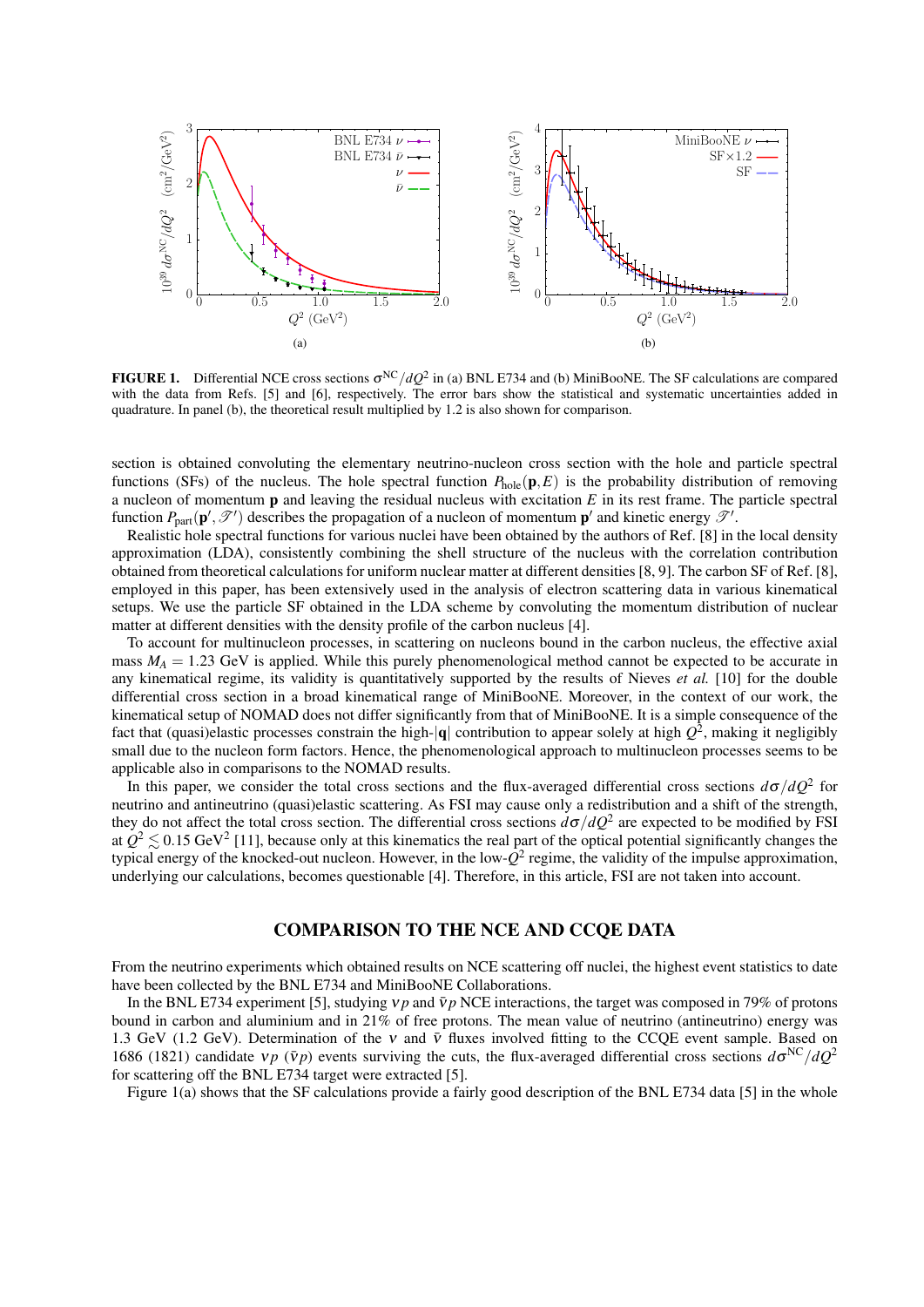

**FIGURE 1.** Differential NCE cross sections  $\sigma^{NC}/dQ^2$  in (a) BNL E734 and (b) MiniBooNE. The SF calculations are compared with the data from Refs. [5] and [6], respectively. The error bars show the statistical and systematic uncertainties added in quadrature. In panel (b), the theoretical result multiplied by 1.2 is also shown for comparison.

section is obtained convoluting the elementary neutrino-nucleon cross section with the hole and particle spectral functions (SFs) of the nucleus. The hole spectral function  $P_{\text{hole}}(\mathbf{p},E)$  is the probability distribution of removing a nucleon of momentum p and leaving the residual nucleus with excitation *E* in its rest frame. The particle spectral function  $P_{\text{part}}(\mathbf{p}', \mathscr{T}')$  describes the propagation of a nucleon of momentum  $\mathbf{p}'$  and kinetic energy  $\mathscr{T}'$ .

Realistic hole spectral functions for various nuclei have been obtained by the authors of Ref. [8] in the local density approximation (LDA), consistently combining the shell structure of the nucleus with the correlation contribution obtained from theoretical calculations for uniform nuclear matter at different densities [8, 9]. The carbon SF of Ref. [8], employed in this paper, has been extensively used in the analysis of electron scattering data in various kinematical setups. We use the particle SF obtained in the LDA scheme by convoluting the momentum distribution of nuclear matter at different densities with the density profile of the carbon nucleus [4].

To account for multinucleon processes, in scattering on nucleons bound in the carbon nucleus, the effective axial mass  $M_A = 1.23$  GeV is applied. While this purely phenomenological method cannot be expected to be accurate in any kinematical regime, its validity is quantitatively supported by the results of Nieves *et al.* [10] for the double differential cross section in a broad kinematical range of MiniBooNE. Moreover, in the context of our work, the kinematical setup of NOMAD does not differ significantly from that of MiniBooNE. It is a simple consequence of the fact that (quasi)elastic processes constrain the high- $|q|$  contribution to appear solely at high  $Q^2$ , making it negligibly small due to the nucleon form factors. Hence, the phenomenological approach to multinucleon processes seems to be applicable also in comparisons to the NOMAD results.

In this paper, we consider the total cross sections and the flux-averaged differential cross sections  $d\sigma/dQ^2$  for neutrino and antineutrino (quasi)elastic scattering. As FSI may cause only a redistribution and a shift of the strength, they do not affect the total cross section. The differential cross sections  $d\sigma/dQ^2$  are expected to be modified by FSI at  $Q^2 \lesssim 0.15 \text{ GeV}^2$  [11], because only at this kinematics the real part of the optical potential significantly changes the typical energy of the knocked-out nucleon. However, in the low-*Q* 2 regime, the validity of the impulse approximation, underlying our calculations, becomes questionable [4]. Therefore, in this article, FSI are not taken into account.

#### COMPARISON TO THE NCE AND CCQE DATA

From the neutrino experiments which obtained results on NCE scattering off nuclei, the highest event statistics to date have been collected by the BNL E734 and MiniBooNE Collaborations.

In the BNL E734 experiment [5], studying  $v_p$  and  $\bar{v}_p$  NCE interactions, the target was composed in 79% of protons bound in carbon and aluminium and in 21% of free protons. The mean value of neutrino (antineutrino) energy was 1.3 GeV (1.2 GeV). Determination of the v and  $\bar{v}$  fluxes involved fitting to the CCQE event sample. Based on 1686 (1821) candidate  $v p$  ( $\bar{v} p$ ) events surviving the cuts, the flux-averaged differential cross sections  $d\sigma^{NC}/dQ^2$ for scattering off the BNL E734 target were extracted [5].

Figure 1(a) shows that the SF calculations provide a fairly good description of the BNL E734 data [5] in the whole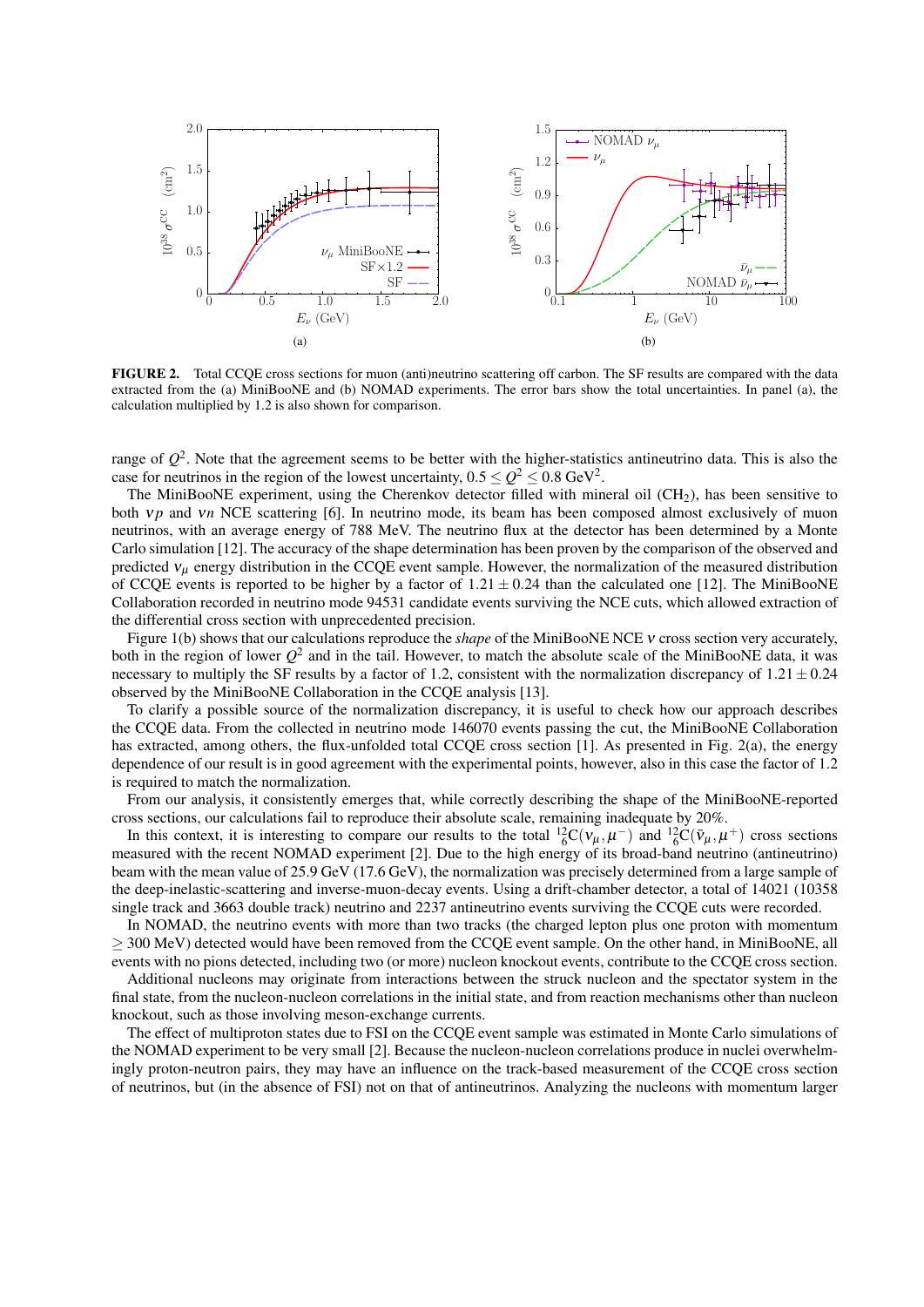

FIGURE 2. Total CCQE cross sections for muon (anti)neutrino scattering off carbon. The SF results are compared with the data extracted from the (a) MiniBooNE and (b) NOMAD experiments. The error bars show the total uncertainties. In panel (a), the calculation multiplied by 1.2 is also shown for comparison.

range of  $Q^2$ . Note that the agreement seems to be better with the higher-statistics antineutrino data. This is also the case for neutrinos in the region of the lowest uncertainty,  $0.5 \leq Q^2 \leq 0.8$  GeV<sup>2</sup>.

The MiniBooNE experiment, using the Cherenkov detector filled with mineral oil  $(CH<sub>2</sub>)$ , has been sensitive to both *vp* and *vn* NCE scattering [6]. In neutrino mode, its beam has been composed almost exclusively of muon neutrinos, with an average energy of 788 MeV. The neutrino flux at the detector has been determined by a Monte Carlo simulation [12]. The accuracy of the shape determination has been proven by the comparison of the observed and predicted  $v_\mu$  energy distribution in the CCQE event sample. However, the normalization of the measured distribution of CCQE events is reported to be higher by a factor of  $1.21 \pm 0.24$  than the calculated one [12]. The MiniBooNE Collaboration recorded in neutrino mode 94531 candidate events surviving the NCE cuts, which allowed extraction of the differential cross section with unprecedented precision.

Figure 1(b) shows that our calculations reproduce the *shape* of the MiniBooNE NCE ν cross section very accurately, both in the region of lower  $Q^2$  and in the tail. However, to match the absolute scale of the MiniBooNE data, it was necessary to multiply the SF results by a factor of 1.2, consistent with the normalization discrepancy of  $1.21 \pm 0.24$ observed by the MiniBooNE Collaboration in the CCQE analysis [13].

To clarify a possible source of the normalization discrepancy, it is useful to check how our approach describes the CCQE data. From the collected in neutrino mode 146070 events passing the cut, the MiniBooNE Collaboration has extracted, among others, the flux-unfolded total CCQE cross section [1]. As presented in Fig. 2(a), the energy dependence of our result is in good agreement with the experimental points, however, also in this case the factor of 1.2 is required to match the normalization.

From our analysis, it consistently emerges that, while correctly describing the shape of the MiniBooNE-reported cross sections, our calculations fail to reproduce their absolute scale, remaining inadequate by 20%.

In this context, it is interesting to compare our results to the total  ${}^{12}_{6}C(v_{\mu}, \mu^{-})$  and  ${}^{12}_{6}C(\bar{v}_{\mu}, \mu^{+})$  cross sections measured with the recent NOMAD experiment [2]. Due to the high energy of its broad-band neutrino (antineutrino) beam with the mean value of 25.9 GeV (17.6 GeV), the normalization was precisely determined from a large sample of the deep-inelastic-scattering and inverse-muon-decay events. Using a drift-chamber detector, a total of 14021 (10358 single track and 3663 double track) neutrino and 2237 antineutrino events surviving the CCQE cuts were recorded.

In NOMAD, the neutrino events with more than two tracks (the charged lepton plus one proton with momentum ≥ 300 MeV) detected would have been removed from the CCQE event sample. On the other hand, in MiniBooNE, all events with no pions detected, including two (or more) nucleon knockout events, contribute to the CCQE cross section.

Additional nucleons may originate from interactions between the struck nucleon and the spectator system in the final state, from the nucleon-nucleon correlations in the initial state, and from reaction mechanisms other than nucleon knockout, such as those involving meson-exchange currents.

The effect of multiproton states due to FSI on the CCQE event sample was estimated in Monte Carlo simulations of the NOMAD experiment to be very small [2]. Because the nucleon-nucleon correlations produce in nuclei overwhelmingly proton-neutron pairs, they may have an influence on the track-based measurement of the CCQE cross section of neutrinos, but (in the absence of FSI) not on that of antineutrinos. Analyzing the nucleons with momentum larger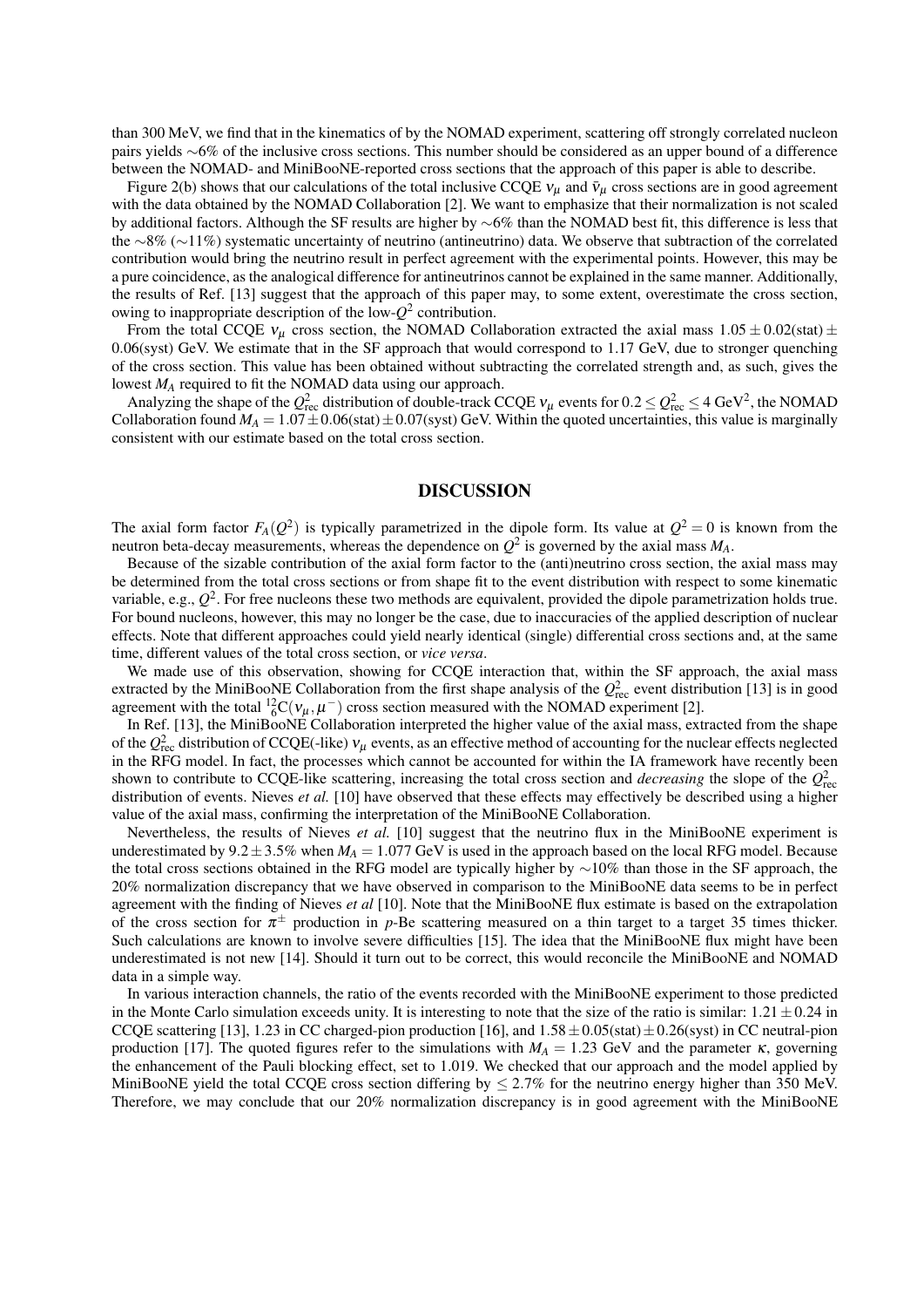than 300 MeV, we find that in the kinematics of by the NOMAD experiment, scattering off strongly correlated nucleon pairs yields ∼6% of the inclusive cross sections. This number should be considered as an upper bound of a difference between the NOMAD- and MiniBooNE-reported cross sections that the approach of this paper is able to describe.

Figure 2(b) shows that our calculations of the total inclusive CCQE  $v_\mu$  and  $\bar{v}_\mu$  cross sections are in good agreement with the data obtained by the NOMAD Collaboration [2]. We want to emphasize that their normalization is not scaled by additional factors. Although the SF results are higher by ∼6% than the NOMAD best fit, this difference is less that the ∼8% (∼11%) systematic uncertainty of neutrino (antineutrino) data. We observe that subtraction of the correlated contribution would bring the neutrino result in perfect agreement with the experimental points. However, this may be a pure coincidence, as the analogical difference for antineutrinos cannot be explained in the same manner. Additionally, the results of Ref. [13] suggest that the approach of this paper may, to some extent, overestimate the cross section, owing to inappropriate description of the low-*Q* 2 contribution.

From the total CCQE  $v_{\mu}$  cross section, the NOMAD Collaboration extracted the axial mass  $1.05 \pm 0.02$ (stat)  $\pm$ 0.06(syst) GeV. We estimate that in the SF approach that would correspond to 1.17 GeV, due to stronger quenching of the cross section. This value has been obtained without subtracting the correlated strength and, as such, gives the lowest *M<sup>A</sup>* required to fit the NOMAD data using our approach.

Analyzing the shape of the  $Q_{\text{rec}}^2$  distribution of double-track CCQE  $v_\mu$  events for  $0.2 \leq Q_{\text{rec}}^2 \leq 4 \text{ GeV}^2$ , the NOMAD Collaboration found  $M_A = 1.07 \pm 0.06$ (stat) $\pm 0.07$ (syst) GeV. Within the quoted uncertainties, this value is marginally consistent with our estimate based on the total cross section.

#### DISCUSSION

The axial form factor  $F_A(Q^2)$  is typically parametrized in the dipole form. Its value at  $Q^2 = 0$  is known from the neutron beta-decay measurements, whereas the dependence on  $Q^2$  is governed by the axial mass  $M_A$ .

Because of the sizable contribution of the axial form factor to the (anti)neutrino cross section, the axial mass may be determined from the total cross sections or from shape fit to the event distribution with respect to some kinematic variable, e.g.,  $Q^2$ . For free nucleons these two methods are equivalent, provided the dipole parametrization holds true. For bound nucleons, however, this may no longer be the case, due to inaccuracies of the applied description of nuclear effects. Note that different approaches could yield nearly identical (single) differential cross sections and, at the same time, different values of the total cross section, or *vice versa*.

We made use of this observation, showing for CCQE interaction that, within the SF approach, the axial mass extracted by the MiniBooNE Collaboration from the first shape analysis of the  $Q_{\text{rec}}^2$  event distribution [13] is in good agreement with the total  ${}^{12}_{6}C(v_{\mu}, \mu^{-})$  cross section measured with the NOMAD experiment [2].

In Ref. [13], the MiniBooNE Collaboration interpreted the higher value of the axial mass, extracted from the shape of the  $Q_{\text{rec}}^2$  distribution of CCQE(-like)  $v_\mu$  events, as an effective method of accounting for the nuclear effects neglected in the RFG model. In fact, the processes which cannot be accounted for within the IA framework have recently been shown to contribute to CCQE-like scattering, increasing the total cross section and *decreasing* the slope of the  $Q_{\text{rec}}^2$ distribution of events. Nieves *et al.* [10] have observed that these effects may effectively be described using a higher value of the axial mass, confirming the interpretation of the MiniBooNE Collaboration.

Nevertheless, the results of Nieves *et al.* [10] suggest that the neutrino flux in the MiniBooNE experiment is underestimated by  $9.2 \pm 3.5\%$  when  $M_A = 1.077$  GeV is used in the approach based on the local RFG model. Because the total cross sections obtained in the RFG model are typically higher by ∼10% than those in the SF approach, the 20% normalization discrepancy that we have observed in comparison to the MiniBooNE data seems to be in perfect agreement with the finding of Nieves *et al* [10]. Note that the MiniBooNE flux estimate is based on the extrapolation of the cross section for  $\pi^{\pm}$  production in *p*-Be scattering measured on a thin target to a target 35 times thicker. Such calculations are known to involve severe difficulties [15]. The idea that the MiniBooNE flux might have been underestimated is not new [14]. Should it turn out to be correct, this would reconcile the MiniBooNE and NOMAD data in a simple way.

In various interaction channels, the ratio of the events recorded with the MiniBooNE experiment to those predicted in the Monte Carlo simulation exceeds unity. It is interesting to note that the size of the ratio is similar:  $1.21 \pm 0.24$  in CCQE scattering [13], 1.23 in CC charged-pion production [16], and  $1.58 \pm 0.05$ (stat)  $\pm 0.26$ (syst) in CC neutral-pion production [17]. The quoted figures refer to the simulations with  $M_A = 1.23$  GeV and the parameter  $\kappa$ , governing the enhancement of the Pauli blocking effect, set to 1.019. We checked that our approach and the model applied by MiniBooNE yield the total CCQE cross section differing by  $\leq 2.7\%$  for the neutrino energy higher than 350 MeV. Therefore, we may conclude that our 20% normalization discrepancy is in good agreement with the MiniBooNE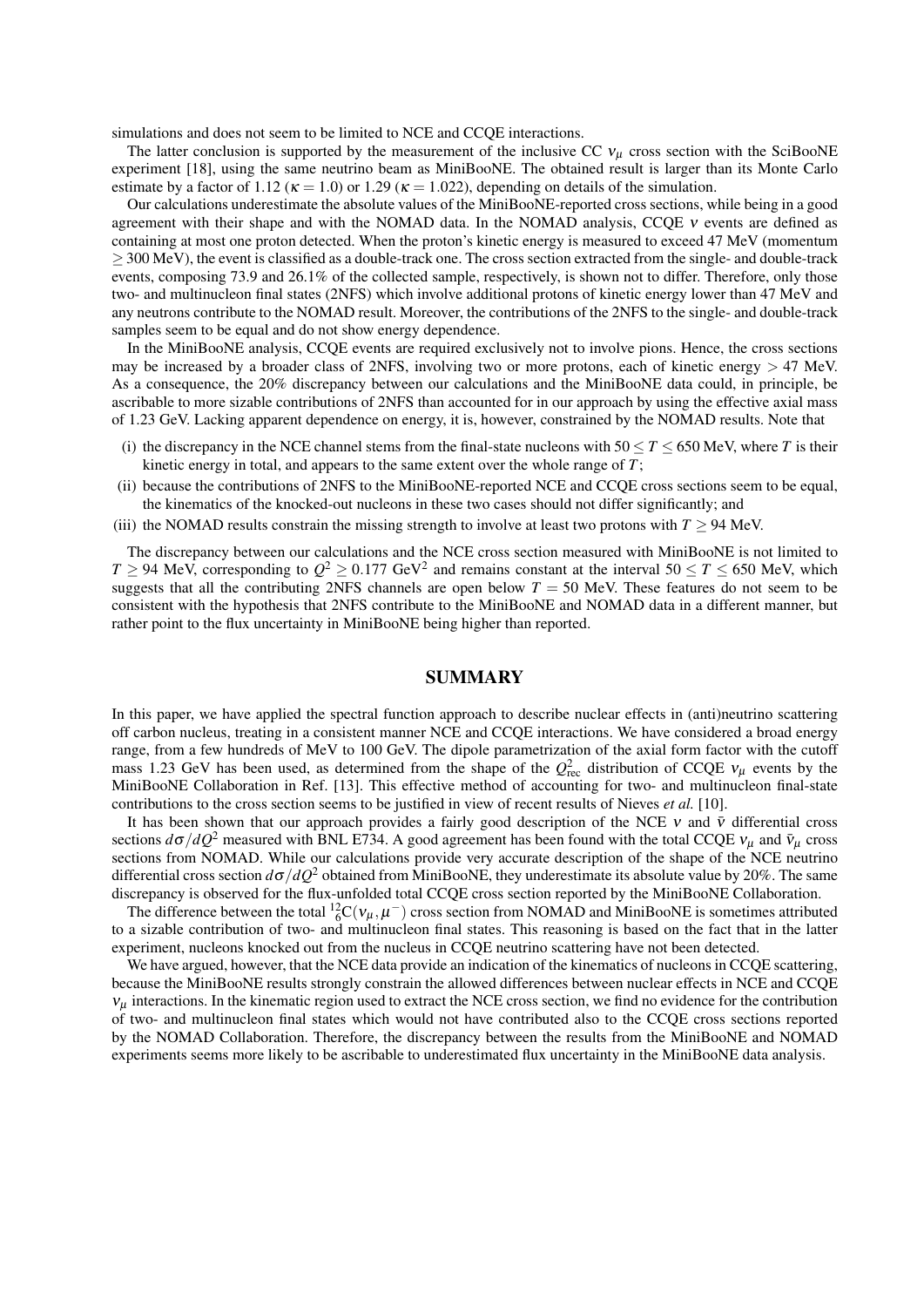simulations and does not seem to be limited to NCE and CCQE interactions.

The latter conclusion is supported by the measurement of the inclusive CC  $v<sub>u</sub>$  cross section with the SciBooNE experiment [18], using the same neutrino beam as MiniBooNE. The obtained result is larger than its Monte Carlo estimate by a factor of 1.12 ( $\kappa = 1.0$ ) or 1.29 ( $\kappa = 1.022$ ), depending on details of the simulation.

Our calculations underestimate the absolute values of the MiniBooNE-reported cross sections, while being in a good agreement with their shape and with the NOMAD data. In the NOMAD analysis, CCQE  $\nu$  events are defined as containing at most one proton detected. When the proton's kinetic energy is measured to exceed 47 MeV (momentum  $\geq$  300 MeV), the event is classified as a double-track one. The cross section extracted from the single- and double-track events, composing 73.9 and 26.1% of the collected sample, respectively, is shown not to differ. Therefore, only those two- and multinucleon final states (2NFS) which involve additional protons of kinetic energy lower than 47 MeV and any neutrons contribute to the NOMAD result. Moreover, the contributions of the 2NFS to the single- and double-track samples seem to be equal and do not show energy dependence.

In the MiniBooNE analysis, CCQE events are required exclusively not to involve pions. Hence, the cross sections may be increased by a broader class of 2NFS, involving two or more protons, each of kinetic energy  $> 47$  MeV. As a consequence, the 20% discrepancy between our calculations and the MiniBooNE data could, in principle, be ascribable to more sizable contributions of 2NFS than accounted for in our approach by using the effective axial mass of 1.23 GeV. Lacking apparent dependence on energy, it is, however, constrained by the NOMAD results. Note that

- (i) the discrepancy in the NCE channel stems from the final-state nucleons with  $50 \le T \le 650$  MeV, where *T* is their kinetic energy in total, and appears to the same extent over the whole range of *T*;
- (ii) because the contributions of 2NFS to the MiniBooNE-reported NCE and CCQE cross sections seem to be equal, the kinematics of the knocked-out nucleons in these two cases should not differ significantly; and
- (iii) the NOMAD results constrain the missing strength to involve at least two protons with  $T > 94$  MeV.

The discrepancy between our calculations and the NCE cross section measured with MiniBooNE is not limited to  $T \ge 94$  MeV, corresponding to  $Q^2 \ge 0.177$  GeV<sup>2</sup> and remains constant at the interval  $50 \le T \le 650$  MeV, which suggests that all the contributing 2NFS channels are open below  $T = 50$  MeV. These features do not seem to be consistent with the hypothesis that 2NFS contribute to the MiniBooNE and NOMAD data in a different manner, but rather point to the flux uncertainty in MiniBooNE being higher than reported.

#### SUMMARY

In this paper, we have applied the spectral function approach to describe nuclear effects in (anti)neutrino scattering off carbon nucleus, treating in a consistent manner NCE and CCQE interactions. We have considered a broad energy range, from a few hundreds of MeV to 100 GeV. The dipole parametrization of the axial form factor with the cutoff mass 1.23 GeV has been used, as determined from the shape of the  $Q_{\text{rec}}^2$  distribution of CCQE  $v_\mu$  events by the MiniBooNE Collaboration in Ref. [13]. This effective method of accounting for two- and multinucleon final-state contributions to the cross section seems to be justified in view of recent results of Nieves *et al.* [10].

It has been shown that our approach provides a fairly good description of the NCE  $\nu$  and  $\bar{\nu}$  differential cross sections  $d\sigma/dQ^2$  measured with BNL E734. A good agreement has been found with the total CCQE  $v_\mu$  and  $\bar{v}_\mu$  cross sections from NOMAD. While our calculations provide very accurate description of the shape of the NCE neutrino differential cross section  $d\sigma/dQ^2$  obtained from MiniBooNE, they underestimate its absolute value by 20%. The same discrepancy is observed for the flux-unfolded total CCQE cross section reported by the MiniBooNE Collaboration.

The difference between the total  ${}^{12}_{6}C(v_{\mu}, \mu^-)$  cross section from NOMAD and MiniBooNE is sometimes attributed to a sizable contribution of two- and multinucleon final states. This reasoning is based on the fact that in the latter experiment, nucleons knocked out from the nucleus in CCQE neutrino scattering have not been detected.

We have argued, however, that the NCE data provide an indication of the kinematics of nucleons in CCQE scattering, because the MiniBooNE results strongly constrain the allowed differences between nuclear effects in NCE and CCQE  $v_{\mu}$  interactions. In the kinematic region used to extract the NCE cross section, we find no evidence for the contribution of two- and multinucleon final states which would not have contributed also to the CCQE cross sections reported by the NOMAD Collaboration. Therefore, the discrepancy between the results from the MiniBooNE and NOMAD experiments seems more likely to be ascribable to underestimated flux uncertainty in the MiniBooNE data analysis.